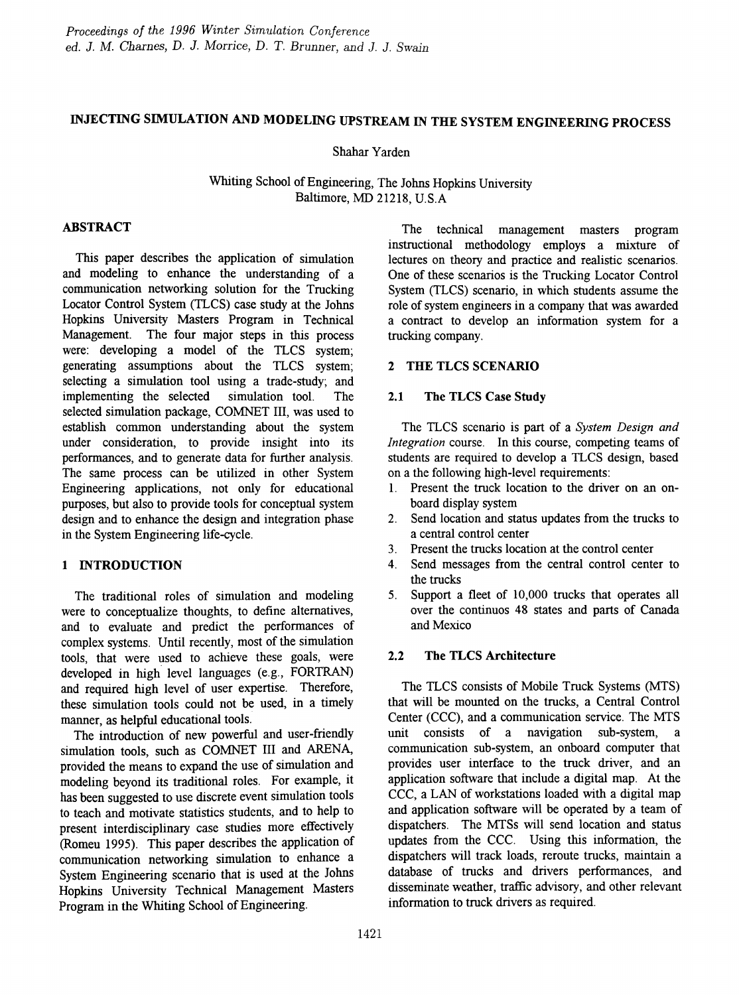# INJECTING SIMULATION AND MODELING UPSTREAM IN THE SYSTEM ENGINEERING PROCESS

### Shahar Yarden

## Whiting School of Engineering, The Johns Hopkins University Baltimore, MD 21218, U.S.A

## ABSTRACT

This paper describes the application of simulation and modeling to enhance the understanding of a communication networking solution for the Trucking Locator Control System (TLCS) case study at the Johns Hopkins University Masters Program in Technical Management. The four major steps in this process were: developing a model of the TLCS system; generating assumptions about the TLCS system; selecting a simulation tool using a trade-study; and implementing the selected simulation tool. The selected simulation package, COMNET III, was used to establish common understanding about the system under consideration, to provide insight into its performances, and to generate data for further analysis. The same process can be utilized in other System Engineering applications, not only for educational purposes, but also to provide tools for conceptual system design and to enhance the design and integration phase in the System Engineering life-cycle.

### 1 INTRODUCTION

The traditional roles of simulation and modeling were to conceptualize thoughts, to define alternatives, and to evaluate and predict the performances of complex systems. Until recently, most of the simulation tools, that were used to achieve these goals, were developed in high' level languages (e.g., FORTRAN) and required high level of user expertise. Therefore, these simulation tools could not be used, in a timely manner, as helpful educational tools.

The introduction of new powerful and user-friendly simulation tools, such as COMNET III and ARENA, provided the means to expand the use of simulation and modeling beyond its traditional roles. For example, it has been suggested to use discrete event simulation tools to teach and motivate statistics students, and to help to present interdisciplinary case studies more effectively (Romeu 1995). This paper describes the application of communication networking simulation to enhance a System Engineering scenario that is used at the Johns Hopkins University Technical Management Masters Program in the Whiting School of Engineering.

The technical management masters program instructional methodology employs a mixture of lectures on theory and practice and realistic scenarios. One of these scenarios is the Trucking Locator Control System (TLCS) scenario, in which students assume the role of system engineers in a company that was awarded a contract to develop an information system for a trucking company.

### 2 THE TLCS SCENARIO

#### 2.1 The TLCS Case Study

The TLCS scenario is part of a *System Design and Integration* course. In this course, competing teams of students are required to develop a TLCS design, based on a the following high-level requirements:

- 1. Present the truck location to the driver on an onboard display system
- 2. Send location and status updates from the trucks to a central control center
- 3. Present the trucks location at the control center
- 4. Send messages from the central control center to the trucks
- 5. Support a fleet of 10,000 trucks that operates all over the continuos 48 states and parts of Canada and Mexico

## 2.2 The TLCS Architecture

The TLCS consists of Mobile Truck Systems (MTS) that will be mounted on the trucks, a Central Control Center (CCC), and a communication service. The MTS unit consists of a navigation sub-system, a communication sub-system, an onboard computer that provides user interface to the truck driver, and an application software that include a digital map. At the CCC, a LAN of workstations loaded with a digital map and application software will be operated by a team of dispatchers. The MTSs will send location and status updates from the CCC. Using this information, the dispatchers will track loads, reroute trucks, maintain a database of trucks and drivers performances, and disseminate weather, traffic advisory, and other relevant information to truck drivers as required.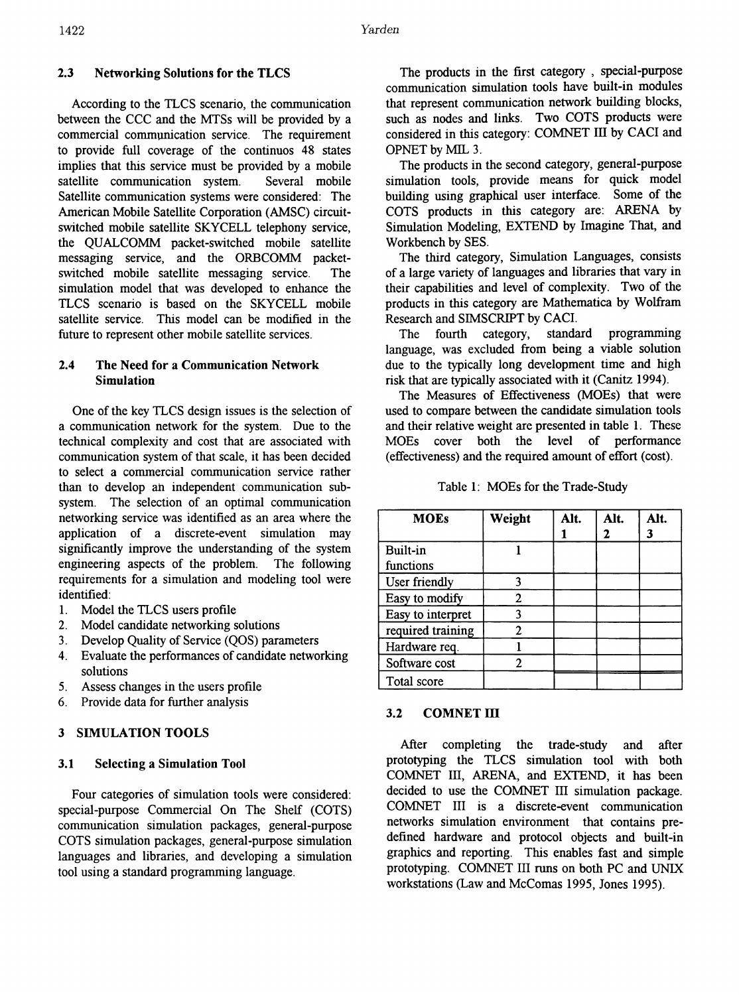## 2.3 Networking Solutions for the TLCS

According to the TLCS scenario, the communication between the CCC and the MTSs will be provided by a commercial communication service. The requirement to provide full coverage of the continuos 48 states implies that this service must be provided by a mobile satellite communication system. Several mobile Satellite communication systems were considered: The American Mobile Satellite Corporation (AMSC) circuitswitched mobile satellite SKYCELL telephony service, the QUALCOMM packet-switched mobile satellite messaging service, and the ORBCOMM packetswitched mobile satellite messaging service. The simulation model that was developed to enhance the TLCS scenario is based on the SKYCELL mobile satellite service. This model can be modified in the future to represent other mobile satellite services.

## 2.4 The Need for a Communication Network Simulation

One of the key TLCS design issues is the selection of a communication network for the system. Due to the technical complexity and cost that are associated with communication system of that scale, it has been decided to select a commercial communication service rather than to develop an independent communication subsystem. The selection of an optimal communication networking service was identified as an area where the application of a discrete-event simulation may significantly improve the understanding of the system engineering aspects of the problem. The following requirements for a simulation and modeling tool were identified:

- 1. Model the TLCS users profile
- 2. Model candidate networking solutions
- 3. Develop Quality of Service (QOS) parameters
- 4. Evaluate the performances of candidate networking solutions
- 5. Assess changes in the users profile
- 6. Provide data for further analysis

## 3 SIMULATION TOOLS

### 3.1 Selecting a Simulation Tool

Four categories of simulation tools were considered: special-purpose Commercial On The Shelf (COTS) communication simulation packages, general-purpose COTS simulation packages, general-purpose simulation languages and libraries, and developing a simulation tool using a standard programming language.

The products in the first category, special-purpose communication simulation tools have built-in modules that represent communication network building blocks, such as nodes and links. Two COTS products were considered in this category: COMNET III by CACI and OPNET by MIL 3.

The products in the second category, general-purpose simulation tools, provide means for quick model building using graphical user interface. Some of the COTS products in this category are: ARENA by Simulation Modeling, EXTEND by Imagine That, and Workbench by SES.

The third category, Simulation Languages, consists of a large variety of languages and libraries that vary in their capabilities and level of complexity. Two of the products in this category are Mathematica by Wolfram Research and SIMSCRIPT by CACI.

The fourth category, standard programming language, was excluded from being a viable solution due to the typically long development time and high risk that are typically associated with it (Canitz 1994).

The Measures of Effectiveness (MOEs) that were used to compare between the candidate simulation tools and their relative weight are presented in table 1. These MOEs cover both the level of perfonnance (effectiveness) and the required amount of effort (cost).

| Table 1: MOEs for the Trade-Study |  |
|-----------------------------------|--|
|-----------------------------------|--|

| <b>MOEs</b>       | Weight         | Alt. | Alt. | Alt. |
|-------------------|----------------|------|------|------|
|                   |                |      | 2    | 3    |
| Built-in          |                |      |      |      |
| functions         |                |      |      |      |
| User friendly     |                |      |      |      |
| Easy to modify    | 2              |      |      |      |
| Easy to interpret | ٦              |      |      |      |
| required training | $\overline{c}$ |      |      |      |
| Hardware req.     |                |      |      |      |
| Software cost     | 2              |      |      |      |
| Total score       |                |      |      |      |

## 3.2 COMNET III

After completing the trade-study and after prototyping the TLCS simulation tool with both COMNET III, ARENA, and EXTEND, it has been decided to use the COMNET III simulation package. COMNET III is a discrete-event communication networks simulation environment that contains predefined hardware and protocol objects and built-in graphics and reporting. This enables fast and simple prototyping. COMNET III runs on both PC and UNIX workstations (Law and McComas 1995, Jones 1995).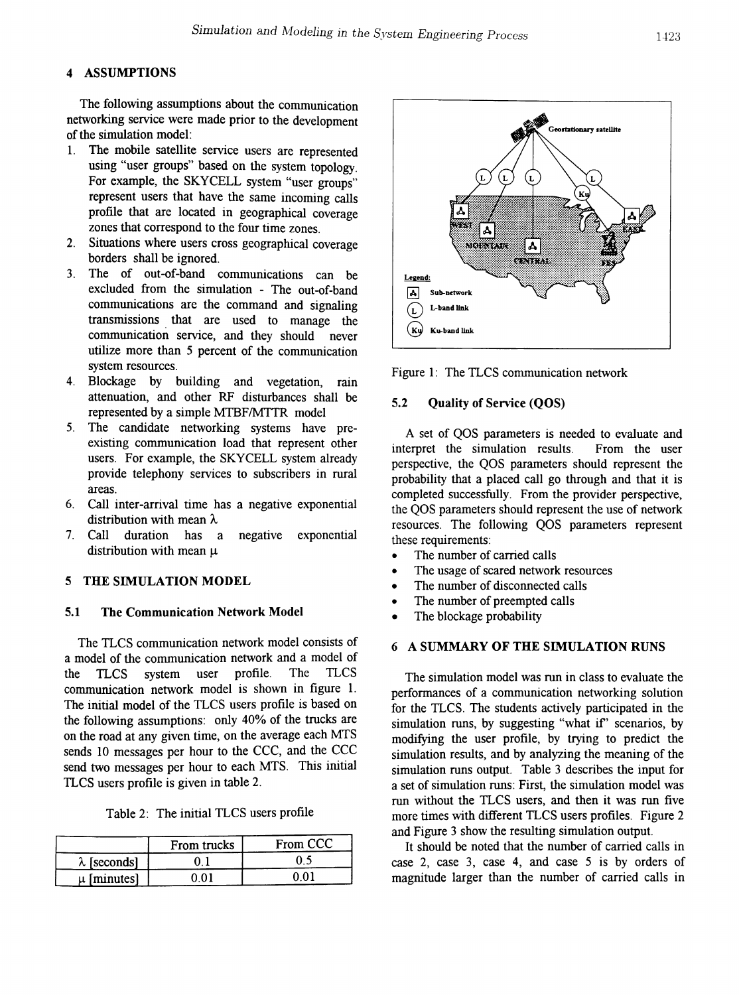## **ASSUMPTIONS**

The following assumptions about the communication networking service were made prior to the development of the simulation model:

- 1. The mobile satellite service users are represented using "user groups" based on the system topology. For example, the SKYCELL system "user groups" represent users that have the same incoming calls profile that are located in geographical coverage zones that correspond to the four time zones.
- 2. Situations where users cross geographical coverage borders shall be ignored.
- 3. The of out-of-band communications can be excluded from the simulation - The out-of-band communications are the command and signaling transmissions that are used to manage the communication service, and they should never utilize more than 5 percent of the communication system resources.
- 4. Blockage by building and vegetation, rain attenuation, and other RF disturbances shall be represented by a simple MTBF/MTTR model
- 5. The candidate networking systems have preexisting communication load that represent other users. For example, the SKYCELL system already provide telephony services to subscribers in rural areas.
- 6. Call inter-arrival time has a negative exponential distribution with mean  $\lambda$
- 7. Call duration has a negative exponential distribution with mean  $\mu$

#### 5 THE SIMULATION MODEL

#### 5.1 The Communication Network Model

The TLCS communication network model consists of a model of the communication network and a model of the TLCS system user profile. The TLCS communication network model is shown in figure 1. The initial model of the TLCS users profile is based on the following assumptions: only 40% of the trucks are on the road at any given time, on the average each MTS sends 10 messages per hour to the CCC, and the CCC send two messages per hour to each MTS. This initial TLCS users profile is given in table 2.

Table 2: The initial TLCS users profile

|                     | From trucks | From CCC |
|---------------------|-------------|----------|
| $\lambda$ [seconds] |             |          |
| u [minutes]         | ብ 1         | ስ በ`     |



Figure 1: The TLCS communication network

#### 5.2 Quality of Service (QOS)

A set of QOS parameters is needed to evaluate and interpret the simulation results. From the user perspective, the QOS parameters should represent the probability that a placed call go through and that it is completed successfully. From the provider perspective, the QOS parameters should represent the use of network resources. The following QOS parameters represent these requirements:

- The number of carried calls
- The usage of scared network resources
- The number of disconnected calls
- The number of preempted calls
- The blockage probability

#### 6 A SUMMARY OF THE SIMULATION RUNS

The simulation model was run in class to evaluate the performances of a communication networking solution for the TLCS. The students actively participated in the simulation runs, by suggesting "what if' scenarios, by modifying the user profile, by trying to predict the simulation results, and by analyzing the meaning of the simulation runs output. Table 3 describes the input for a set of simulation runs: First, the simulation model was run without the TLCS users, and then it was run five more times with different TLCS users profiles. Figure 2 and Figure 3 show the resulting simulation output.

It should be noted that the number of carried calls in case 2, case 3, case 4, and case 5 is by orders of magnitude larger than the number of carried calls in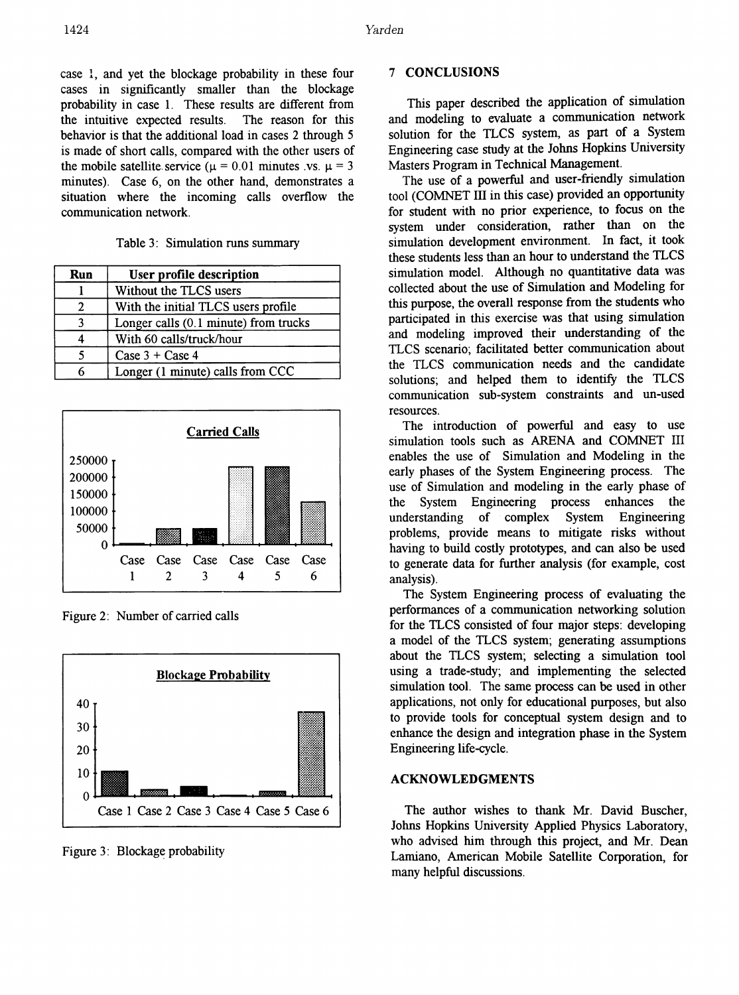case 1, and yet the blockage probability in these four cases in significantly smaller than the blockage probability in case 1. These results are different from the intuitive expected results. The reason for this behavior is that the additional load in cases 2 through 5 is made of short calls, compared with the other users of the mobile satellite service ( $\mu = 0.01$  minutes vs.  $\mu = 3$ minutes). Case 6, on the other hand, demonstrates a situation where the incoming calls overflow the communication network.

Table 3: Simulation runs summary

| Run | User profile description              |
|-----|---------------------------------------|
|     | Without the TLCS users                |
|     | With the initial TLCS users profile   |
| 3   | Longer calls (0.1 minute) from trucks |
|     | With 60 calls/truck/hour              |
|     | Case $3 +$ Case 4                     |
|     | Longer (1 minute) calls from CCC      |



Figure 2: Number of carried calls



Figure 3: Blockage probability

### 7 CONCLUSIONS

This paper described the application of simulation and modeling to evaluate a communication network solution for the TLCS system, as part of a System Engineering case study at the Johns Hopkins University Masters Program in Technical Management.

The use of a powerful and user-friendly simulation tool (COMNET III in this case) provided an opportunity for student with no prior experience, to focus on the system under consideration, rather than on the simulation development environment. In fact, it took these students less than an hour to understand the TLCS simulation model. Although no quantitative data was collected about the use of Simulation and Modeling for this purpose, the overall response from the students who participated in this exercise was that using simulation and modeling improved their understanding of the TLCS scenario: facilitated better communication about the TLCS communication needs and the candidate solutions; and helped them to identify the TLCS communication sub-system constraints and un-used resources.

The introduction of powerful and easy to use simulation tools such as ARENA and COMNET III enables the use of Simulation and Modeling in the early phases of the System Engineering process. The use of Simulation and modeling in the early phase of the System Engineering process enhances the understanding of complex System Engineering problems, provide means to mitigate risks without having to build costly prototypes, and can also be used to generate data for further analysis (for example, cost analysis).

The System Engineering process of evaluating the performances of a communication networking solution for the TLCS consisted of four major steps: developing a model of the TLCS system; generating assumptions about the TLCS system; selecting a simulation tool using a trade-study; and implementing the selected simulation tool. The same process can be used in other applications, not only for educational purposes, but also to provide tools for conceptual system design and to enhance the design and integration phase in the System Engineering life-cycle.

### ACKNOWLEDGMENTS

The author wishes to thank Mr. David Buscher, Johns Hopkins University Applied Physics Laboratory, who advised him through this project, and Mr. Dean Lamiano, American Mobile Satellite Corporation, for many helpful discussions.